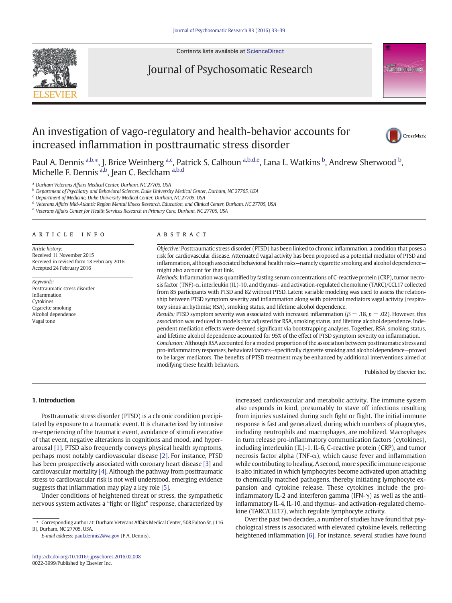

Contents lists available at [ScienceDirect](http://www.sciencedirect.com/science/journal/)

## Journal of Psychosomatic Research

# An investigation of vago-regulatory and health-behavior accounts for increased inflammation in posttraumatic stress disorder



**Psychosomatic-Research** 

Paul A. Dennis <sup>a,b,</sup>\*, J. Brice Weinberg <sup>a,c</sup>, Patrick S. Calhoun <sup>a,b,d,e</sup>, Lana L. Watkins <sup>b</sup>, Andrew Sherwood <sup>b</sup>, Michelle F. Dennis <sup>a,b</sup>, Jean C. Beckham <sup>a,b,d</sup>

<sup>a</sup> Durham Veterans Affairs Medical Center, Durham, NC 27705, USA

<sup>b</sup> Department of Psychiatry and Behavioral Sciences, Duke University Medical Center, Durham, NC 27705, USA

<sup>c</sup> Department of Medicine, Duke University Medical Center, Durham, NC 27705, USA

<sup>d</sup> Veterans Affairs Mid-Atlantic Region Mental Illness Research, Education, and Clinical Center, Durham, NC 27705, USA

<sup>e</sup> Veterans Affairs Center for Health Services Research in Primary Care, Durham, NC 27705, USA

#### article info abstract

Article history: Received 11 November 2015 Received in revised form 18 February 2016 Accepted 24 February 2016

Keywords: Posttraumatic stress disorder Inflammation Cytokines Cigarette smoking Alcohol dependence Vagal tone

modifying these health behaviors.

Objective: Posttraumatic stress disorder (PTSD) has been linked to chronic inflammation, a condition that poses a risk for cardiovascular disease. Attenuated vagal activity has been proposed as a potential mediator of PTSD and inflammation, although associated behavioral health risks—namely cigarette smoking and alcohol dependence might also account for that link.

Methods: Inflammation was quantified by fasting serum concentrations of C-reactive protein (CRP), tumor necrosis factor (TNF)-α, interleukin (IL)-10, and thymus- and activation-regulated chemokine (TARC)/CCL17 collected from 85 participants with PTSD and 82 without PTSD. Latent variable modeling was used to assess the relationship between PTSD symptom severity and inflammation along with potential mediators vagal activity (respiratory sinus arrhythmia; RSA), smoking status, and lifetime alcohol dependence.

Results: PTSD symptom severity was associated with increased inflammation ( $\beta = .18$ ,  $p = .02$ ). However, this association was reduced in models that adjusted for RSA, smoking status, and lifetime alcohol dependence. Independent mediation effects were deemed significant via bootstrapping analyses. Together, RSA, smoking status, and lifetime alcohol dependence accounted for 95% of the effect of PTSD symptom severity on inflammation. Conclusion: Although RSA accounted for a modest proportion of the association between posttraumatic stress and pro-inflammatory responses, behavioral factors—specifically cigarette smoking and alcohol dependence—proved to be larger mediators. The benefits of PTSD treatment may be enhanced by additional interventions aimed at

Published by Elsevier Inc.

#### 1. Introduction

Posttraumatic stress disorder (PTSD) is a chronic condition precipitated by exposure to a traumatic event. It is characterized by intrusive re-experiencing of the traumatic event, avoidance of stimuli evocative of that event, negative alterations in cognitions and mood, and hyperarousal [1]. PTSD also frequently conveys physical health symptoms, perhaps most notably cardiovascular disease [2]. For instance, PTSD has been prospectively associated with coronary heart disease [3] and cardiovascular mortality [4]. Although the pathway from posttraumatic stress to cardiovascular risk is not well understood, emerging evidence suggests that inflammation may play a key role [5].

Under conditions of heightened threat or stress, the sympathetic nervous system activates a "fight or flight" response, characterized by

E-mail address: [paul.dennis2@va.gov](mailto:paul.dennis2@va.gov) (P.A. Dennis).

increased cardiovascular and metabolic activity. The immune system also responds in kind, presumably to stave off infections resulting from injuries sustained during such fight or flight. The initial immune response is fast and generalized, during which numbers of phagocytes, including neutrophils and macrophages, are mobilized. Macrophages in turn release pro-inflammatory communication factors (cytokines), including interleukin (IL)-1, IL-6, C-reactive protein (CRP), and tumor necrosis factor alpha (TNF- $\alpha$ ), which cause fever and inflammation while contributing to healing. A second, more specific immune response is also initiated in which lymphocytes become activated upon attaching to chemically matched pathogens, thereby initiating lymphocyte expansion and cytokine release. These cytokines include the proinflammatory IL-2 and interferon gamma (IFN-γ) as well as the antiinflammatory IL-4, IL-10, and thymus- and activation-regulated chemokine (TARC/CLL17), which regulate lymphocyte activity.

Over the past two decades, a number of studies have found that psychological stress is associated with elevated cytokine levels, reflecting heightened inflammation [6]. For instance, several studies have found

<sup>⁎</sup> Corresponding author at: Durham Veterans Affairs Medical Center, 508 Fulton St. (116 B), Durham, NC 27705, USA.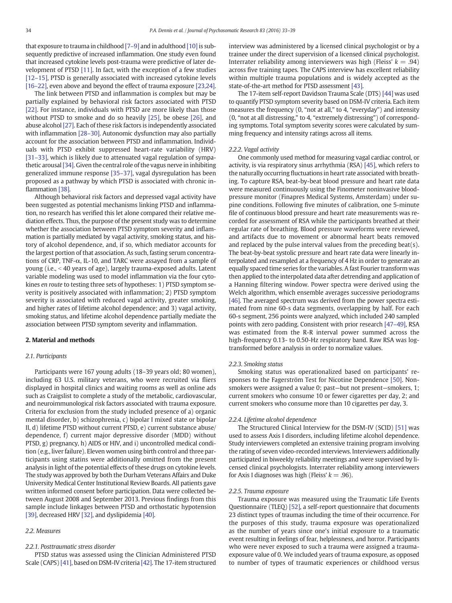that exposure to trauma in childhood [7–9] and in adulthood [10] is subsequently predictive of increased inflammation. One study even found that increased cytokine levels post-trauma were predictive of later development of PTSD [11]. In fact, with the exception of a few studies [12–15], PTSD is generally associated with increased cytokine levels [16–22], even above and beyond the effect of trauma exposure [23,24].

The link between PTSD and inflammation is complex but may be partially explained by behavioral risk factors associated with PTSD [22]. For instance, individuals with PTSD are more likely than those without PTSD to smoke and do so heavily [25], be obese [26], and abuse alcohol [27]. Each of these risk factors is independently associated with inflammation [28–30]. Autonomic dysfunction may also partially account for the association between PTSD and inflammation. Individuals with PTSD exhibit suppressed heart-rate variability (HRV) [31-33], which is likely due to attenuated vagal regulation of sympathetic arousal[34]. Given the central role of the vagus nerve in inhibiting generalized immune response [35–37], vagal dysregulation has been proposed as a pathway by which PTSD is associated with chronic inflammation [38].

Although behavioral risk factors and depressed vagal activity have been suggested as potential mechanisms linking PTSD and inflammation, no research has verified this let alone compared their relative mediation effects. Thus, the purpose of the present study was to determine whether the association between PTSD symptom severity and inflammation is partially mediated by vagal activity, smoking status, and history of alcohol dependence, and, if so, which mediator accounts for the largest portion of that association. As such, fasting serum concentrations of CRP, TNF- $\alpha$ , IL-10, and TARC were assayed from a sample of young (i.e., < 40 years of age), largely trauma-exposed adults. Latent variable modeling was used to model inflammation via the four cytokines en route to testing three sets of hypotheses: 1) PTSD symptom severity is positively associated with inflammation; 2) PTSD symptom severity is associated with reduced vagal activity, greater smoking, and higher rates of lifetime alcohol dependence; and 3) vagal activity, smoking status, and lifetime alcohol dependence partially mediate the association between PTSD symptom severity and inflammation.

### 2. Material and methods

#### 2.1. Participants

Participants were 167 young adults (18–39 years old; 80 women), including 63 U.S. military veterans, who were recruited via fliers displayed in hospital clinics and waiting rooms as well as online ads such as Craigslist to complete a study of the metabolic, cardiovascular, and neuroimmunological risk factors associated with trauma exposure. Criteria for exclusion from the study included presence of a) organic mental disorder, b) schizophrenia, c) bipolar I mixed state or bipolar II, d) lifetime PTSD without current PTSD, e) current substance abuse/ dependence, f) current major depressive disorder (MDD) without PTSD, g) pregnancy, h) AIDS or HIV, and i) uncontrolled medical condition (e.g., liver failure). Eleven women using birth control and three participants using statins were additionally omitted from the present analysis in light of the potential effects of these drugs on cytokine levels. The study was approved by both the Durham Veterans Affairs and Duke University Medical Center Institutional Review Boards. All patients gave written informed consent before participation. Data were collected between August 2008 and September 2013. Previous findings from this sample include linkages between PTSD and orthostatic hypotension [39], decreased HRV [32], and dyslipidemia [40].

#### 2.2. Measures

#### 2.2.1. Posttraumatic stress disorder

PTSD status was assessed using the Clinician Administered PTSD Scale (CAPS) [41], based on DSM-IV criteria [42]. The 17-item structured interview was administered by a licensed clinical psychologist or by a trainee under the direct supervision of a licensed clinical psychologist. Interrater reliability among interviewers was high (Fleiss'  $k = .94$ ) across five training tapes. The CAPS interview has excellent reliability within multiple trauma populations and is widely accepted as the state-of-the-art method for PTSD assessment [43].

The 17-item self-report Davidson Trauma Scale (DTS) [44] was used to quantify PTSD symptom severity based on DSM-IV criteria. Each item measures the frequency (0, "not at all," to 4, "everyday") and intensity (0, "not at all distressing," to 4, "extremely distressing") of corresponding symptoms. Total symptom severity scores were calculated by summing frequency and intensity ratings across all items.

### 2.2.2. Vagal activity

One commonly used method for measuring vagal cardiac control, or activity, is via respiratory sinus arrhythmia (RSA) [45], which refers to the naturally occurring fluctuations in heart rate associated with breathing. To capture RSA, beat-by-beat blood pressure and heart rate data were measured continuously using the Finometer noninvasive bloodpressure monitor (Finapres Medical Systems, Amsterdam) under supine conditions. Following five minutes of calibration, one 5-minute file of continuous blood pressure and heart rate measurements was recorded for assessment of RSA while the participants breathed at their regular rate of breathing. Blood pressure waveforms were reviewed, and artifacts due to movement or abnormal heart beats removed and replaced by the pulse interval values from the preceding beat( $s$ ). The beat-by-beat systolic pressure and heart rate data were linearly interpolated and resampled at a frequency of 4 Hz in order to generate an equally spaced time series for the variables. A fast Fourier transform was then applied to the interpolated data after detrending and application of a Hanning filtering window. Power spectra were derived using the Welch algorithm, which ensemble averages successive periodograms [46]. The averaged spectrum was derived from the power spectra estimated from nine 60-s data segments, overlapping by half. For each 60-s segment, 256 points were analyzed, which included 240 sampled points with zero padding. Consistent with prior research [47–49], RSA was estimated from the R-R interval power summed across the high-frequency 0.13- to 0.50-Hz respiratory band. Raw RSA was logtransformed before analysis in order to normalize values.

#### 2.2.3. Smoking status

Smoking status was operationalized based on participants' responses to the Fagerström Test for Nicotine Dependence [50]. Nonsmokers were assigned a value 0; past—but not present—smokers, 1; current smokers who consume 10 or fewer cigarettes per day, 2; and current smokers who consume more than 10 cigarettes per day, 3.

#### 2.2.4. Lifetime alcohol dependence

The Structured Clinical Interview for the DSM-IV (SCID) [51] was used to assess Axis I disorders, including lifetime alcohol dependence. Study interviewers completed an extensive training program involving the rating of seven video-recorded interviews. Interviewers additionally participated in biweekly reliability meetings and were supervised by licensed clinical psychologists. Interrater reliability among interviewers for Axis I diagnoses was high (Fleiss'  $k = .96$ ).

#### 2.2.5. Trauma exposure

Trauma exposure was measured using the Traumatic Life Events Questionnaire (TLEQ) [52], a self-report questionnaire that documents 23 distinct types of traumas including the time of their occurrence. For the purposes of this study, trauma exposure was operationalized as the number of years since one's initial exposure to a traumatic event resulting in feelings of fear, helplessness, and horror. Participants who were never exposed to such a trauma were assigned a traumaexposure value of 0. We included years of trauma exposure, as opposed to number of types of traumatic experiences or childhood versus